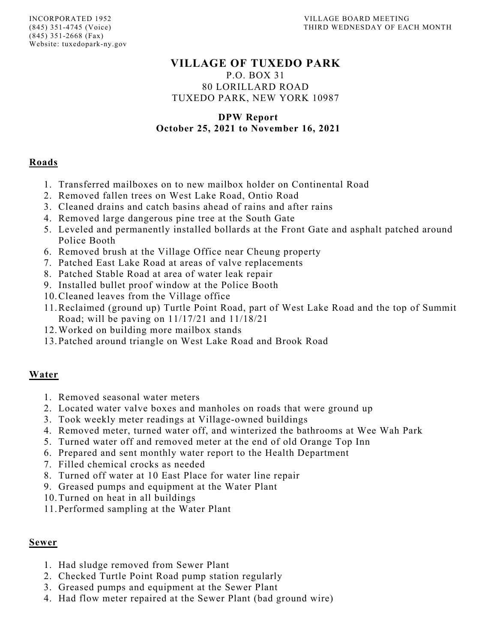# **VILLAGE OF TUXEDO PARK**

### P.O. BOX 31 80 LORILLARD ROAD TUXEDO PARK, NEW YORK 10987

### **DPW Report October 25, 2021 to November 16, 2021**

### **Roads**

- 1. Transferred mailboxes on to new mailbox holder on Continental Road
- 2. Removed fallen trees on West Lake Road, Ontio Road
- 3. Cleaned drains and catch basins ahead of rains and after rains
- 4. Removed large dangerous pine tree at the South Gate
- 5. Leveled and permanently installed bollards at the Front Gate and asphalt patched around Police Booth
- 6. Removed brush at the Village Office near Cheung property
- 7. Patched East Lake Road at areas of valve replacements
- 8. Patched Stable Road at area of water leak repair
- 9. Installed bullet proof window at the Police Booth
- 10.Cleaned leaves from the Village office
- 11.Reclaimed (ground up) Turtle Point Road, part of West Lake Road and the top of Summit Road; will be paving on 11/17/21 and 11/18/21
- 12.Worked on building more mailbox stands
- 13.Patched around triangle on West Lake Road and Brook Road

## **Water**

- 1. Removed seasonal water meters
- 2. Located water valve boxes and manholes on roads that were ground up
- 3. Took weekly meter readings at Village-owned buildings
- 4. Removed meter, turned water off, and winterized the bathrooms at Wee Wah Park
- 5. Turned water off and removed meter at the end of old Orange Top Inn
- 6. Prepared and sent monthly water report to the Health Department
- 7. Filled chemical crocks as needed
- 8. Turned off water at 10 East Place for water line repair
- 9. Greased pumps and equipment at the Water Plant
- 10.Turned on heat in all buildings
- 11.Performed sampling at the Water Plant

#### **Sewer**

- 1. Had sludge removed from Sewer Plant
- 2. Checked Turtle Point Road pump station regularly
- 3. Greased pumps and equipment at the Sewer Plant
- 4. Had flow meter repaired at the Sewer Plant (bad ground wire)